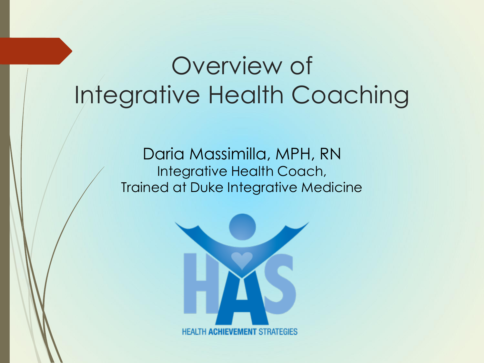#### Overview of Integrative Health Coaching

Daria Massimilla, MPH, RN Integrative Health Coach, Trained at Duke Integrative Medicine

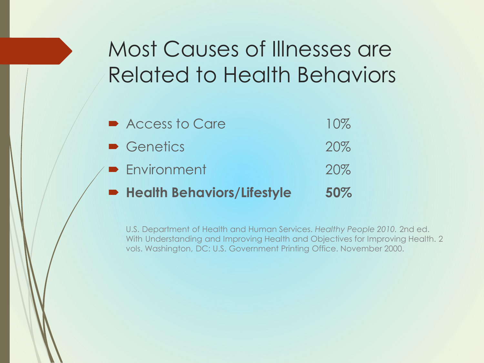#### Most Causes of Illnesses are Related to Health Behaviors

| <b>B</b> Health Behaviors/Lifestyle | 50%    |
|-------------------------------------|--------|
| <b>B</b> Environment                | 20%    |
| • Genetics                          | 20%    |
| Access to Care                      | $10\%$ |

U.S. Department of Health and Human Services. *Healthy People 2010.* 2nd ed. With Understanding and Improving Health and Objectives for Improving Health. 2 vols. Washington, DC: U.S. Government Printing Office. November 2000.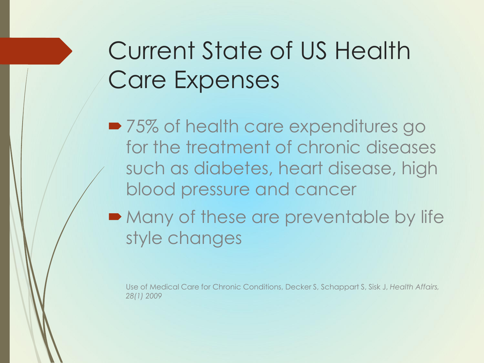# Current State of US Health Care Expenses

■ 75% of health care expenditures go for the treatment of chronic diseases such as diabetes, heart disease, high blood pressure and cancer

• Many of these are preventable by life style changes

Use of Medical Care for Chronic Conditions, Decker S, Schappart S, Sisk J, *Health Affairs, 28(1) 2009*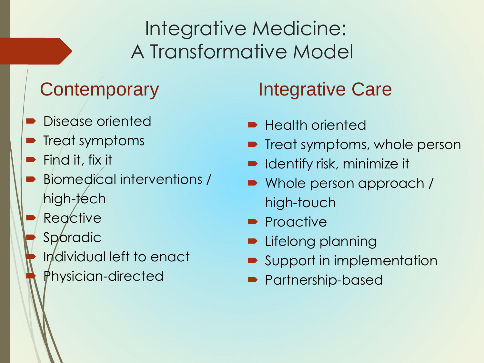#### Integrative Medicine: A Transformative Model

- Disease oriented
- Treat symptoms
- Find it, fix it
- Biomedical interventions / high-tech
- **Reactive**
- **Sporadic** 
	- Individual left to enact Physician-directed

#### Contemporary Integrative Care

- Health oriented
- Treat symptoms, whole person
- Identify risk, minimize it
- Whole person approach / high-touch
- Proactive
- Lifelong planning
- Support in implementation
- Partnership-based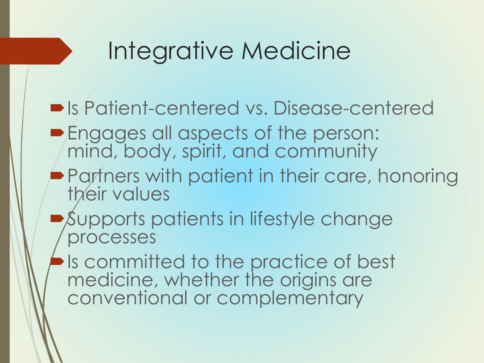#### Integrative Medicine

- Is Patient-centered vs. Disease-centered **Engages all aspects of the person:** mind, body, spirit, and community **Partners with patient in their care, honoring** their values Supports patients in lifestyle change processes Is committed to the practice of best
	- medicine, whether the origins are conventional or complementary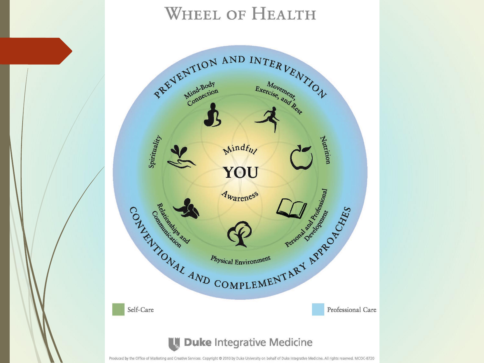#### **WHEEL OF HEALTH**

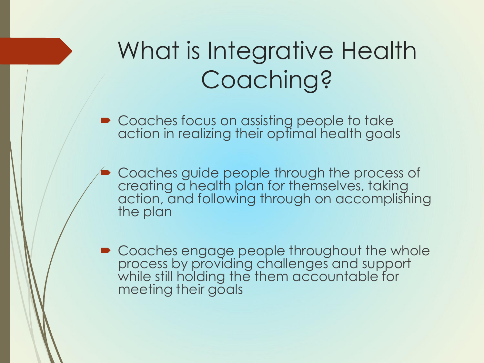# What is Integrative Health Coaching?

■ Coaches focus on assisting people to take action in realizing their optimal health goals

- Coaches guide people through the process of creating a health plan for themselves, taking action, and following through on accomplishing the plan
- Coaches engage people throughout the whole process by providing challenges and support while still holding the them accountable for meeting their goals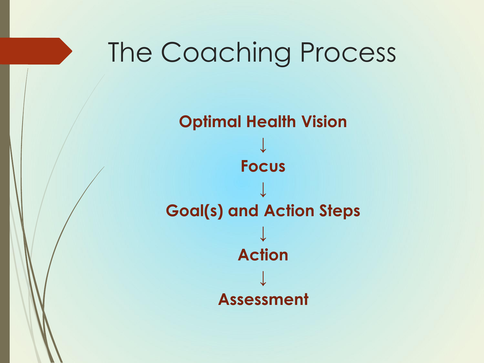# The Coaching Process

**Optimal Health Vision ↓ Focus ↓ Goal(s) and Action Steps ↓ Action ↓ Assessment**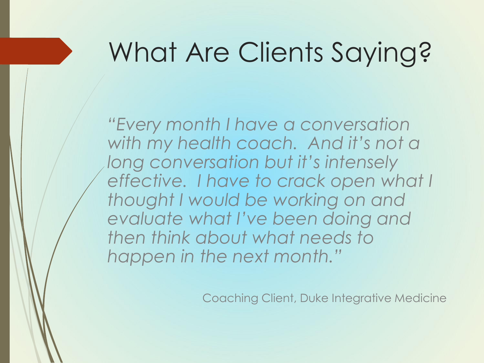# What Are Clients Saying?

*"Every month I have a conversation with my health coach. And it's not a long conversation but it's intensely effective. I have to crack open what I thought I would be working on and evaluate what I've been doing and then think about what needs to happen in the next month."*

Coaching Client, Duke Integrative Medicine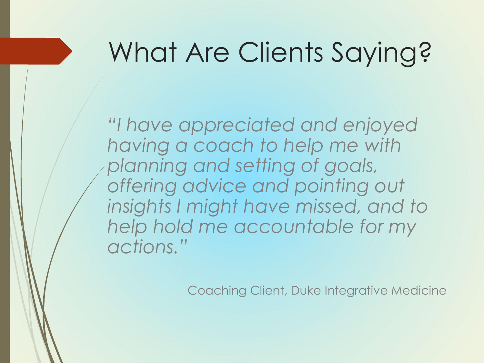# What Are Clients Saying?

*"I have appreciated and enjoyed having a coach to help me with planning and setting of goals, offering advice and pointing out insights I might have missed, and to help hold me accountable for my actions."*

Coaching Client, Duke Integrative Medicine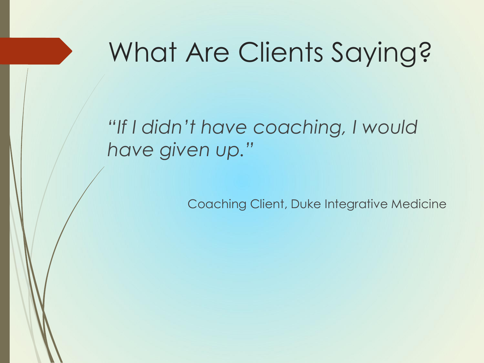# What Are Clients Saying?

#### *"If I didn't have coaching, I would have given up."*

Coaching Client, Duke Integrative Medicine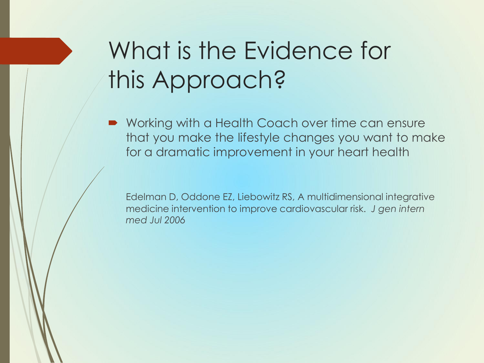# What is the Evidence for this Approach?

■ Working with a Health Coach over time can ensure that you make the lifestyle changes you want to make for a dramatic improvement in your heart health

Edelman D, Oddone EZ, Liebowitz RS, A multidimensional integrative medicine intervention to improve cardiovascular risk. *J gen intern med Jul 2006*